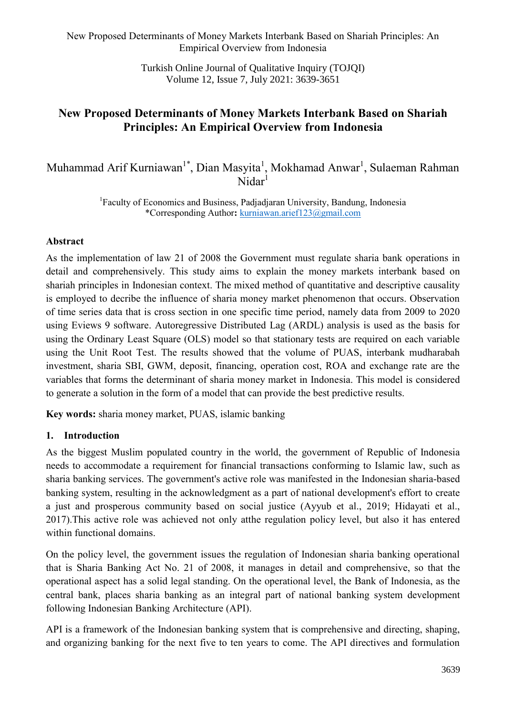> Turkish Online Journal of Qualitative Inquiry (TOJQI) Volume 12, Issue 7, July 2021: 3639-3651

# **New Proposed Determinants of Money Markets Interbank Based on Shariah Principles: An Empirical Overview from Indonesia**

Muhammad Arif Kurniawan<sup>1\*</sup>, Dian Masyita<sup>1</sup>, Mokhamad Anwar<sup>1</sup>, Sulaeman Rahman  $Nidar<sup>1</sup>$ 

> <sup>1</sup>Faculty of Economics and Business, Padjadjaran University, Bandung, Indonesia \*Corresponding Author**:** [kurniawan.arief123@gmail.com](mailto:kurniawan.arief123@gmail.com)

#### **Abstract**

As the implementation of law 21 of 2008 the Government must regulate sharia bank operations in detail and comprehensively. This study aims to explain the money markets interbank based on shariah principles in Indonesian context. The mixed method of quantitative and descriptive causality is employed to decribe the influence of sharia money market phenomenon that occurs. Observation of time series data that is cross section in one specific time period, namely data from 2009 to 2020 using Eviews 9 software. Autoregressive Distributed Lag (ARDL) analysis is used as the basis for using the Ordinary Least Square (OLS) model so that stationary tests are required on each variable using the Unit Root Test. The results showed that the volume of PUAS, interbank mudharabah investment, sharia SBI, GWM, deposit, financing, operation cost, ROA and exchange rate are the variables that forms the determinant of sharia money market in Indonesia. This model is considered to generate a solution in the form of a model that can provide the best predictive results.

**Key words:** sharia money market, PUAS, islamic banking

## **1. Introduction**

As the biggest Muslim populated country in the world, the government of Republic of Indonesia needs to accommodate a requirement for financial transactions conforming to Islamic law, such as sharia banking services. The government's active role was manifested in the Indonesian sharia-based banking system, resulting in the acknowledgment as a part of national development's effort to create a just and prosperous community based on social justice (Ayyub et al., 2019; Hidayati et al., 2017).This active role was achieved not only atthe regulation policy level, but also it has entered within functional domains.

On the policy level, the government issues the regulation of Indonesian sharia banking operational that is Sharia Banking Act No. 21 of 2008, it manages in detail and comprehensive, so that the operational aspect has a solid legal standing. On the operational level, the Bank of Indonesia, as the central bank, places sharia banking as an integral part of national banking system development following Indonesian Banking Architecture (API).

API is a framework of the Indonesian banking system that is comprehensive and directing, shaping, and organizing banking for the next five to ten years to come. The API directives and formulation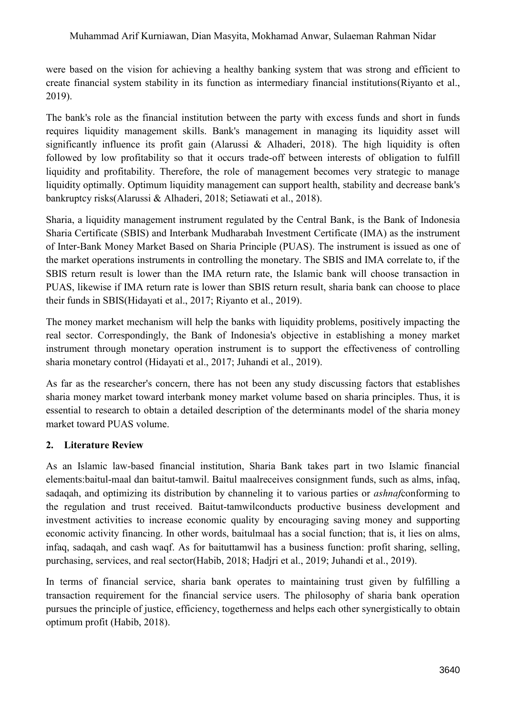were based on the vision for achieving a healthy banking system that was strong and efficient to create financial system stability in its function as intermediary financial institutions(Riyanto et al., 2019).

The bank's role as the financial institution between the party with excess funds and short in funds requires liquidity management skills. Bank's management in managing its liquidity asset will significantly influence its profit gain (Alarussi & Alhaderi, 2018). The high liquidity is often followed by low profitability so that it occurs trade-off between interests of obligation to fulfill liquidity and profitability. Therefore, the role of management becomes very strategic to manage liquidity optimally. Optimum liquidity management can support health, stability and decrease bank's bankruptcy risks(Alarussi & Alhaderi, 2018; Setiawati et al., 2018).

Sharia, a liquidity management instrument regulated by the Central Bank, is the Bank of Indonesia Sharia Certificate (SBIS) and Interbank Mudharabah Investment Certificate (IMA) as the instrument of Inter-Bank Money Market Based on Sharia Principle (PUAS). The instrument is issued as one of the market operations instruments in controlling the monetary. The SBIS and IMA correlate to, if the SBIS return result is lower than the IMA return rate, the Islamic bank will choose transaction in PUAS, likewise if IMA return rate is lower than SBIS return result, sharia bank can choose to place their funds in SBIS(Hidayati et al., 2017; Riyanto et al., 2019).

The money market mechanism will help the banks with liquidity problems, positively impacting the real sector. Correspondingly, the Bank of Indonesia's objective in establishing a money market instrument through monetary operation instrument is to support the effectiveness of controlling sharia monetary control (Hidayati et al., 2017; Juhandi et al., 2019).

As far as the researcher's concern, there has not been any study discussing factors that establishes sharia money market toward interbank money market volume based on sharia principles. Thus, it is essential to research to obtain a detailed description of the determinants model of the sharia money market toward PUAS volume.

# **2. Literature Review**

As an Islamic law-based financial institution, Sharia Bank takes part in two Islamic financial elements:baitul-maal dan baitut-tamwil. Baitul maalreceives consignment funds, such as alms, infaq, sadaqah, and optimizing its distribution by channeling it to various parties or *ashnaf*conforming to the regulation and trust received. Baitut-tamwilconducts productive business development and investment activities to increase economic quality by encouraging saving money and supporting economic activity financing. In other words, baitulmaal has a social function; that is, it lies on alms, infaq, sadaqah, and cash waqf. As for baituttamwil has a business function: profit sharing, selling, purchasing, services, and real sector(Habib, 2018; Hadjri et al., 2019; Juhandi et al., 2019).

In terms of financial service, sharia bank operates to maintaining trust given by fulfilling a transaction requirement for the financial service users. The philosophy of sharia bank operation pursues the principle of justice, efficiency, togetherness and helps each other synergistically to obtain optimum profit (Habib, 2018).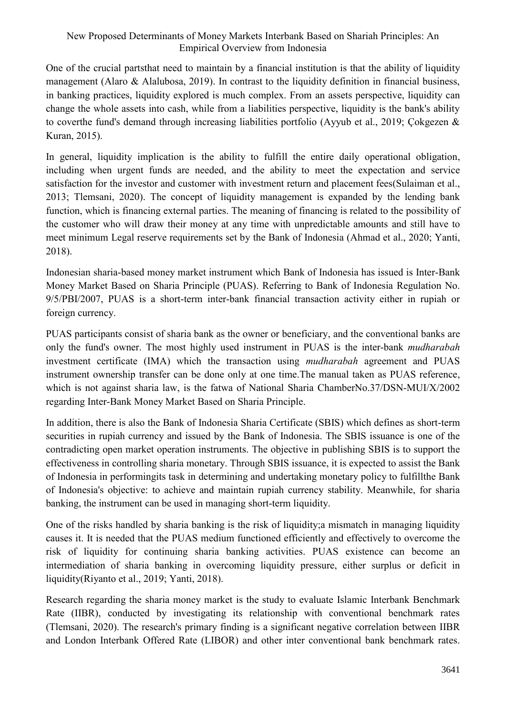One of the crucial partsthat need to maintain by a financial institution is that the ability of liquidity management (Alaro & Alalubosa, 2019). In contrast to the liquidity definition in financial business, in banking practices, liquidity explored is much complex. From an assets perspective, liquidity can change the whole assets into cash, while from a liabilities perspective, liquidity is the bank's ability to coverthe fund's demand through increasing liabilities portfolio (Ayyub et al., 2019; Çokgezen & Kuran, 2015).

In general, liquidity implication is the ability to fulfill the entire daily operational obligation, including when urgent funds are needed, and the ability to meet the expectation and service satisfaction for the investor and customer with investment return and placement fees(Sulaiman et al., 2013; Tlemsani, 2020). The concept of liquidity management is expanded by the lending bank function, which is financing external parties. The meaning of financing is related to the possibility of the customer who will draw their money at any time with unpredictable amounts and still have to meet minimum Legal reserve requirements set by the Bank of Indonesia (Ahmad et al., 2020; Yanti, 2018).

Indonesian sharia-based money market instrument which Bank of Indonesia has issued is Inter-Bank Money Market Based on Sharia Principle (PUAS). Referring to Bank of Indonesia Regulation No. 9/5/PBI/2007, PUAS is a short-term inter-bank financial transaction activity either in rupiah or foreign currency.

PUAS participants consist of sharia bank as the owner or beneficiary, and the conventional banks are only the fund's owner. The most highly used instrument in PUAS is the inter-bank *mudharabah* investment certificate (IMA) which the transaction using *mudharabah* agreement and PUAS instrument ownership transfer can be done only at one time.The manual taken as PUAS reference, which is not against sharia law, is the fatwa of National Sharia ChamberNo.37/DSN-MUI/X/2002 regarding Inter-Bank Money Market Based on Sharia Principle.

In addition, there is also the Bank of Indonesia Sharia Certificate (SBIS) which defines as short-term securities in rupiah currency and issued by the Bank of Indonesia. The SBIS issuance is one of the contradicting open market operation instruments. The objective in publishing SBIS is to support the effectiveness in controlling sharia monetary. Through SBIS issuance, it is expected to assist the Bank of Indonesia in performingits task in determining and undertaking monetary policy to fulfillthe Bank of Indonesia's objective: to achieve and maintain rupiah currency stability. Meanwhile, for sharia banking, the instrument can be used in managing short-term liquidity.

One of the risks handled by sharia banking is the risk of liquidity;a mismatch in managing liquidity causes it. It is needed that the PUAS medium functioned efficiently and effectively to overcome the risk of liquidity for continuing sharia banking activities. PUAS existence can become an intermediation of sharia banking in overcoming liquidity pressure, either surplus or deficit in liquidity(Riyanto et al., 2019; Yanti, 2018).

Research regarding the sharia money market is the study to evaluate Islamic Interbank Benchmark Rate (IIBR), conducted by investigating its relationship with conventional benchmark rates (Tlemsani, 2020). The research's primary finding is a significant negative correlation between IIBR and London Interbank Offered Rate (LIBOR) and other inter conventional bank benchmark rates.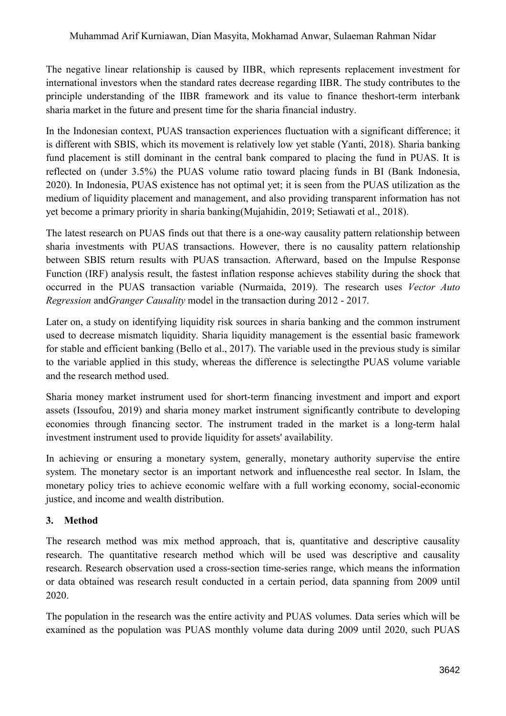The negative linear relationship is caused by IIBR, which represents replacement investment for international investors when the standard rates decrease regarding IIBR. The study contributes to the principle understanding of the IIBR framework and its value to finance theshort-term interbank sharia market in the future and present time for the sharia financial industry.

In the Indonesian context, PUAS transaction experiences fluctuation with a significant difference; it is different with SBIS, which its movement is relatively low yet stable (Yanti, 2018). Sharia banking fund placement is still dominant in the central bank compared to placing the fund in PUAS. It is reflected on (under 3.5%) the PUAS volume ratio toward placing funds in BI (Bank Indonesia, 2020). In Indonesia, PUAS existence has not optimal yet; it is seen from the PUAS utilization as the medium of liquidity placement and management, and also providing transparent information has not yet become a primary priority in sharia banking(Mujahidin, 2019; Setiawati et al., 2018).

The latest research on PUAS finds out that there is a one-way causality pattern relationship between sharia investments with PUAS transactions. However, there is no causality pattern relationship between SBIS return results with PUAS transaction. Afterward, based on the Impulse Response Function (IRF) analysis result, the fastest inflation response achieves stability during the shock that occurred in the PUAS transaction variable (Nurmaida, 2019). The research uses *Vector Auto Regression* and*Granger Causality* model in the transaction during 2012 - 2017*.*

Later on, a study on identifying liquidity risk sources in sharia banking and the common instrument used to decrease mismatch liquidity. Sharia liquidity management is the essential basic framework for stable and efficient banking (Bello et al., 2017). The variable used in the previous study is similar to the variable applied in this study, whereas the difference is selectingthe PUAS volume variable and the research method used.

Sharia money market instrument used for short-term financing investment and import and export assets (Issoufou, 2019) and sharia money market instrument significantly contribute to developing economies through financing sector. The instrument traded in the market is a long-term halal investment instrument used to provide liquidity for assets' availability.

In achieving or ensuring a monetary system, generally, monetary authority supervise the entire system. The monetary sector is an important network and influencesthe real sector. In Islam, the monetary policy tries to achieve economic welfare with a full working economy, social-economic justice, and income and wealth distribution.

# **3. Method**

The research method was mix method approach, that is, quantitative and descriptive causality research. The quantitative research method which will be used was descriptive and causality research. Research observation used a cross-section time-series range, which means the information or data obtained was research result conducted in a certain period, data spanning from 2009 until 2020.

The population in the research was the entire activity and PUAS volumes. Data series which will be examined as the population was PUAS monthly volume data during 2009 until 2020, such PUAS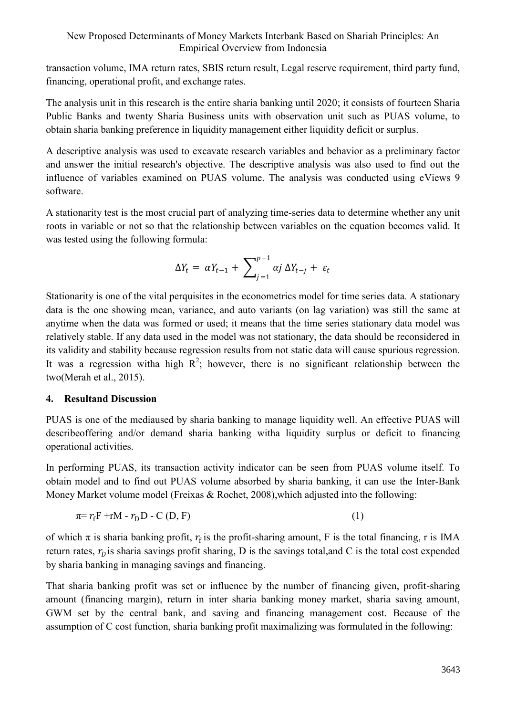transaction volume, IMA return rates, SBIS return result, Legal reserve requirement, third party fund, financing, operational profit, and exchange rates.

The analysis unit in this research is the entire sharia banking until 2020; it consists of fourteen Sharia Public Banks and twenty Sharia Business units with observation unit such as PUAS volume, to obtain sharia banking preference in liquidity management either liquidity deficit or surplus.

A descriptive analysis was used to excavate research variables and behavior as a preliminary factor and answer the initial research's objective. The descriptive analysis was also used to find out the influence of variables examined on PUAS volume. The analysis was conducted using eViews 9 software.

A stationarity test is the most crucial part of analyzing time-series data to determine whether any unit roots in variable or not so that the relationship between variables on the equation becomes valid. It was tested using the following formula:

$$
\Delta Y_t = \alpha Y_{t-1} + \sum_{j=1}^{p-1} \alpha j \Delta Y_{t-j} + \varepsilon_t
$$

Stationarity is one of the vital perquisites in the econometrics model for time series data. A stationary data is the one showing mean, variance, and auto variants (on lag variation) was still the same at anytime when the data was formed or used; it means that the time series stationary data model was relatively stable. If any data used in the model was not stationary, the data should be reconsidered in its validity and stability because regression results from not static data will cause spurious regression. It was a regression witha high  $R^2$ ; however, there is no significant relationship between the two(Merah et al., 2015).

## **4. Resultand Discussion**

PUAS is one of the mediaused by sharia banking to manage liquidity well. An effective PUAS will describeoffering and/or demand sharia banking witha liquidity surplus or deficit to financing operational activities.

In performing PUAS, its transaction activity indicator can be seen from PUAS volume itself. To obtain model and to find out PUAS volume absorbed by sharia banking, it can use the Inter-Bank Money Market volume model (Freixas & Rochet, 2008), which adjusted into the following:

$$
\pi = r_f F + r M - r_D D - C (D, F) \tag{1}
$$

of which  $\pi$  is sharia banking profit,  $r_f$  is the profit-sharing amount, F is the total financing, r is IMA return rates,  $r<sub>D</sub>$  is sharia savings profit sharing, D is the savings total,and C is the total cost expended by sharia banking in managing savings and financing.

That sharia banking profit was set or influence by the number of financing given, profit-sharing amount (financing margin), return in inter sharia banking money market, sharia saving amount, GWM set by the central bank, and saving and financing management cost. Because of the assumption of C cost function, sharia banking profit maximalizing was formulated in the following: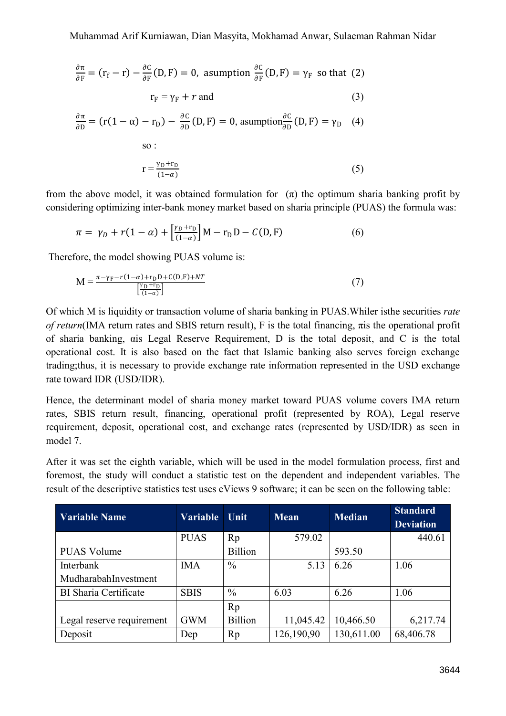$$
\frac{\partial \pi}{\partial F} = (r_f - r) - \frac{\partial C}{\partial F}(D, F) = 0, \text{ assumption } \frac{\partial C}{\partial F}(D, F) = \gamma_F \text{ so that (2)}
$$
  

$$
r_F = \gamma_F + r \text{ and } \qquad (3)
$$
  

$$
\frac{\partial \pi}{\partial D} = (r(1 - \alpha) - r_D) - \frac{\partial C}{\partial D}(D, F) = 0, \text{ assumption } \frac{\partial C}{\partial D}(D, F) = \gamma_D \qquad (4)
$$
  
so:  

$$
r = \frac{\gamma_D + r_D}{(1 - \alpha)} \qquad (5)
$$

from the above model, it was obtained formulation for  $(\pi)$  the optimum sharia banking profit by considering optimizing inter-bank money market based on sharia principle (PUAS) the formula was:

$$
\pi = \gamma_D + r(1 - \alpha) + \left[\frac{\gamma_D + r_D}{(1 - \alpha)}\right]M - r_D D - C(D, F) \tag{6}
$$

Therefore, the model showing PUAS volume is:

 $(1-\alpha)$ 

$$
M = \frac{\pi - \gamma_F - r(1 - \alpha) + r_D D + C(D, F) + NT}{\left[\frac{\gamma_D + r_D}{(1 - \alpha)}\right]}
$$
(7)

Of which M is liquidity or transaction volume of sharia banking in PUAS.Whiler isthe securities *rate of return*(IMA return rates and SBIS return result), F is the total financing, πis the operational profit of sharia banking, αis Legal Reserve Requirement, D is the total deposit, and C is the total operational cost. It is also based on the fact that Islamic banking also serves foreign exchange trading;thus, it is necessary to provide exchange rate information represented in the USD exchange rate toward IDR (USD/IDR).

Hence, the determinant model of sharia money market toward PUAS volume covers IMA return rates, SBIS return result, financing, operational profit (represented by ROA), Legal reserve requirement, deposit, operational cost, and exchange rates (represented by USD/IDR) as seen in model 7.

After it was set the eighth variable, which will be used in the model formulation process, first and foremost, the study will conduct a statistic test on the dependent and independent variables. The result of the descriptive statistics test uses eViews 9 software; it can be seen on the following table:

| Variable Name                | <b>Variable</b> | Unit           | <b>Mean</b> | <b>Median</b> | <b>Standard</b><br><b>Deviation</b> |
|------------------------------|-----------------|----------------|-------------|---------------|-------------------------------------|
|                              | <b>PUAS</b>     | Rp             | 579.02      |               | 440.61                              |
| <b>PUAS Volume</b>           |                 | <b>Billion</b> |             | 593.50        |                                     |
| Interbank                    | <b>IMA</b>      | $\frac{0}{0}$  | 5.13        | 6.26          | 1.06                                |
| MudharabahInvestment         |                 |                |             |               |                                     |
| <b>BI</b> Sharia Certificate | <b>SBIS</b>     | $\frac{0}{0}$  | 6.03        | 6.26          | 1.06                                |
|                              |                 | Rp             |             |               |                                     |
| Legal reserve requirement    | <b>GWM</b>      | <b>Billion</b> | 11,045.42   | 10,466.50     | 6,217.74                            |
| Deposit                      | Dep             | Rp             | 126,190,90  | 130,611.00    | 68,406.78                           |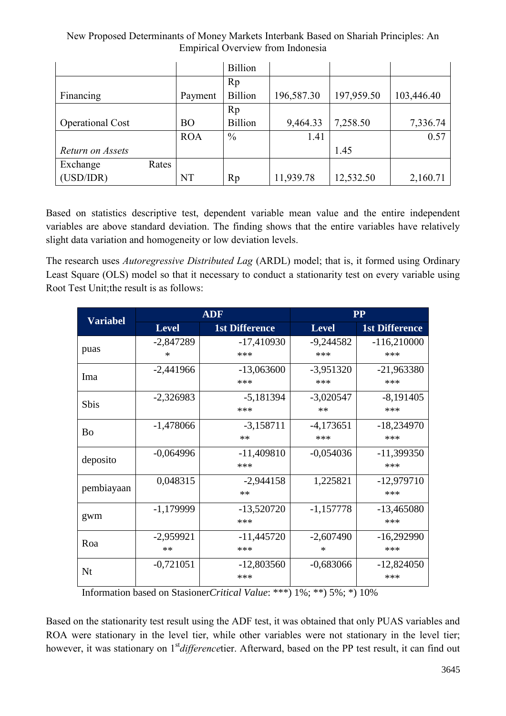| New Proposed Determinants of Money Markets Interbank Based on Shariah Principles: An |  |
|--------------------------------------------------------------------------------------|--|
| Empirical Overview from Indonesia                                                    |  |

|                         |       |            | <b>Billion</b> |            |            |            |
|-------------------------|-------|------------|----------------|------------|------------|------------|
|                         |       |            | Rp             |            |            |            |
| Financing               |       | Payment    | <b>Billion</b> | 196,587.30 | 197,959.50 | 103,446.40 |
|                         |       |            | Rp             |            |            |            |
| <b>Operational Cost</b> |       | <b>BO</b>  | <b>Billion</b> | 9,464.33   | 7,258.50   | 7,336.74   |
|                         |       | <b>ROA</b> | $\frac{0}{0}$  | 1.41       |            | 0.57       |
| Return on Assets        |       |            |                |            | 1.45       |            |
| Exchange                | Rates |            |                |            |            |            |
| (USD/IDR)               |       | NT         | Rp             | 11,939.78  | 12,532.50  | 2,160.71   |

Based on statistics descriptive test, dependent variable mean value and the entire independent variables are above standard deviation. The finding shows that the entire variables have relatively slight data variation and homogeneity or low deviation levels.

The research uses *Autoregressive Distributed Lag* (ARDL) model; that is, it formed using Ordinary Least Square (OLS) model so that it necessary to conduct a stationarity test on every variable using Root Test Unit;the result is as follows:

| <b>Variabel</b>       |              | <b>ADF</b>            | <b>PP</b>    |                       |  |
|-----------------------|--------------|-----------------------|--------------|-----------------------|--|
|                       | <b>Level</b> | <b>1st Difference</b> | <b>Level</b> | <b>1st Difference</b> |  |
| puas                  | $-2,847289$  | $-17,410930$          | $-9,244582$  | $-116,210000$         |  |
|                       | ∗            | ***                   | ***          | ***                   |  |
| Ima                   | $-2,441966$  | $-13,063600$          | $-3,951320$  | $-21,963380$          |  |
|                       |              | ***                   | ***          | ***                   |  |
| <b>Sbis</b>           | $-2,326983$  | $-5,181394$           | $-3,020547$  | $-8,191405$           |  |
|                       |              | ***                   | $**$         | ***                   |  |
| <b>B</b> <sub>o</sub> | $-1,478066$  | $-3,158711$           | $-4,173651$  | $-18,234970$          |  |
|                       |              | $**$                  | ***          | ***                   |  |
| deposito              | $-0,064996$  | $-11,409810$          | $-0,054036$  | $-11,399350$          |  |
|                       |              | ***                   |              | ***                   |  |
| pembiayaan            | 0,048315     | $-2,944158$           | 1,225821     | $-12,979710$          |  |
|                       |              | $**$                  |              | ***                   |  |
| gwm                   | $-1,179999$  | $-13,520720$          | $-1,157778$  | $-13,465080$          |  |
|                       |              | ***                   |              | ***                   |  |
| Roa                   | $-2,959921$  | $-11,445720$          | $-2,607490$  | $-16,292990$          |  |
|                       | $**$         | ***                   | $\ast$       | ***                   |  |
| Nt                    | $-0,721051$  | $-12,803560$          | $-0,683066$  | $-12,824050$          |  |
|                       |              | ***                   |              | ***                   |  |

Information based on Stasioner*Critical Value*: \*\*\*) 1%; \*\*) 5%; \*) 10%

Based on the stationarity test result using the ADF test, it was obtained that only PUAS variables and ROA were stationary in the level tier, while other variables were not stationary in the level tier; however, it was stationary on 1<sup>st</sup> *difference*tier. Afterward, based on the PP test result, it can find out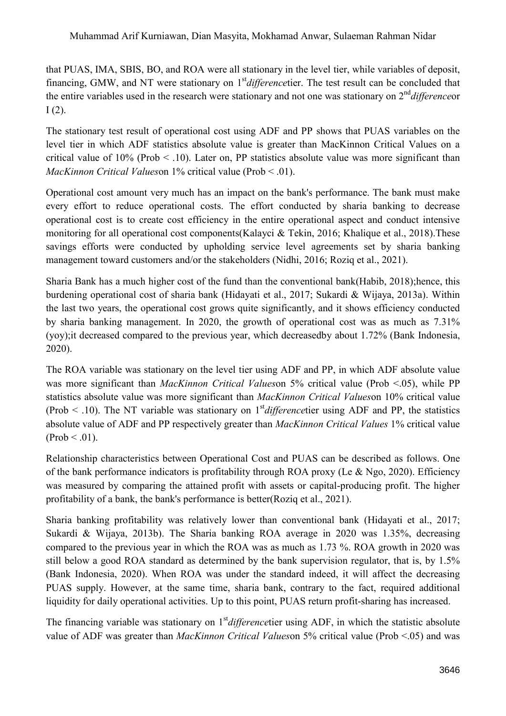that PUAS, IMA, SBIS, BO, and ROA were all stationary in the level tier, while variables of deposit, financing, GMW, and NT were stationary on 1<sup>st</sup> *difference*tier. The test result can be concluded that the entire variables used in the research were stationary and not one was stationary on 2<sup>nd</sup> *difference* or  $I(2)$ .

The stationary test result of operational cost using ADF and PP shows that PUAS variables on the level tier in which ADF statistics absolute value is greater than MacKinnon Critical Values on a critical value of  $10\%$  (Prob  $\leq$  .10). Later on, PP statistics absolute value was more significant than *MacKinnon Critical Values*on 1% critical value (Prob < .01).

Operational cost amount very much has an impact on the bank's performance. The bank must make every effort to reduce operational costs. The effort conducted by sharia banking to decrease operational cost is to create cost efficiency in the entire operational aspect and conduct intensive monitoring for all operational cost components(Kalayci & Tekin, 2016; Khalique et al., 2018).These savings efforts were conducted by upholding service level agreements set by sharia banking management toward customers and/or the stakeholders (Nidhi, 2016; Roziq et al., 2021).

Sharia Bank has a much higher cost of the fund than the conventional bank(Habib, 2018);hence, this burdening operational cost of sharia bank (Hidayati et al., 2017; Sukardi & Wijaya, 2013a). Within the last two years, the operational cost grows quite significantly, and it shows efficiency conducted by sharia banking management. In 2020, the growth of operational cost was as much as 7.31% (yoy);it decreased compared to the previous year, which decreasedby about 1.72% (Bank Indonesia, 2020).

The ROA variable was stationary on the level tier using ADF and PP, in which ADF absolute value was more significant than *MacKinnon Critical Values* on 5% critical value (Prob <.05), while PP statistics absolute value was more significant than *MacKinnon Critical Values*on 10% critical value (Prob  $\leq$  .10). The NT variable was stationary on 1<sup>st</sup> *difference*tier using ADF and PP, the statistics absolute value of ADF and PP respectively greater than *MacKinnon Critical Values* 1% critical value  $(Prob < .01)$ .

Relationship characteristics between Operational Cost and PUAS can be described as follows. One of the bank performance indicators is profitability through ROA proxy (Le & Ngo, 2020). Efficiency was measured by comparing the attained profit with assets or capital-producing profit. The higher profitability of a bank, the bank's performance is better(Roziq et al., 2021).

Sharia banking profitability was relatively lower than conventional bank (Hidayati et al., 2017; Sukardi & Wijaya, 2013b). The Sharia banking ROA average in 2020 was 1.35%, decreasing compared to the previous year in which the ROA was as much as 1.73 %. ROA growth in 2020 was still below a good ROA standard as determined by the bank supervision regulator, that is, by 1.5% (Bank Indonesia, 2020). When ROA was under the standard indeed, it will affect the decreasing PUAS supply. However, at the same time, sharia bank, contrary to the fact, required additional liquidity for daily operational activities. Up to this point, PUAS return profit-sharing has increased.

The financing variable was stationary on 1<sup>st</sup> *difference*tier using ADF, in which the statistic absolute value of ADF was greater than *MacKinnon Critical Values*on 5% critical value (Prob <.05) and was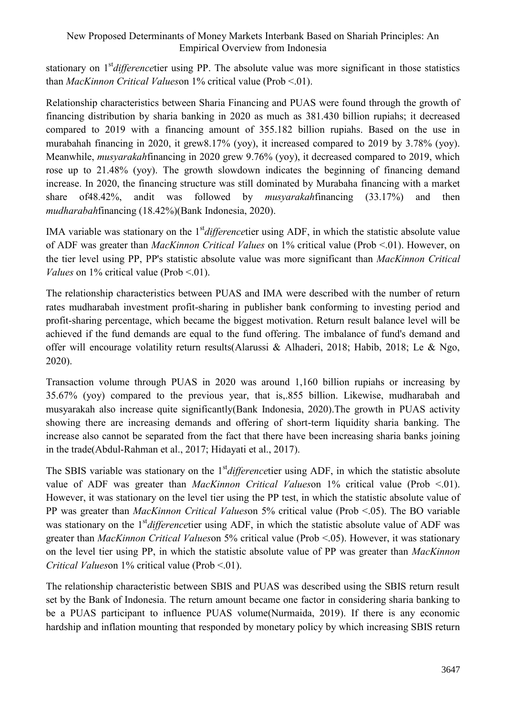stationary on 1 st*difference*tier using PP. The absolute value was more significant in those statistics than *MacKinnon Critical Values*on 1% critical value (Prob <.01).

Relationship characteristics between Sharia Financing and PUAS were found through the growth of financing distribution by sharia banking in 2020 as much as 381.430 billion rupiahs; it decreased compared to 2019 with a financing amount of 355.182 billion rupiahs. Based on the use in murabahah financing in 2020, it grew8.17% (yoy), it increased compared to 2019 by 3.78% (yoy). Meanwhile, *musyarakah*financing in 2020 grew 9.76% (yoy), it decreased compared to 2019, which rose up to 21.48% (yoy). The growth slowdown indicates the beginning of financing demand increase. In 2020, the financing structure was still dominated by Murabaha financing with a market share of48.42%, andit was followed by *musyarakah*financing (33.17%) and then *mudharabah*financing (18.42%)(Bank Indonesia, 2020).

IMA variable was stationary on the 1<sup>st</sup> *difference*tier using ADF, in which the statistic absolute value of ADF was greater than *MacKinnon Critical Values* on 1% critical value (Prob <.01). However, on the tier level using PP, PP's statistic absolute value was more significant than *MacKinnon Critical Values* on  $1\%$  critical value (Prob  $\leq 01$ ).

The relationship characteristics between PUAS and IMA were described with the number of return rates mudharabah investment profit-sharing in publisher bank conforming to investing period and profit-sharing percentage, which became the biggest motivation. Return result balance level will be achieved if the fund demands are equal to the fund offering. The imbalance of fund's demand and offer will encourage volatility return results(Alarussi & Alhaderi, 2018; Habib, 2018; Le & Ngo, 2020).

Transaction volume through PUAS in 2020 was around 1,160 billion rupiahs or increasing by 35.67% (yoy) compared to the previous year, that is,.855 billion. Likewise, mudharabah and musyarakah also increase quite significantly(Bank Indonesia, 2020).The growth in PUAS activity showing there are increasing demands and offering of short-term liquidity sharia banking. The increase also cannot be separated from the fact that there have been increasing sharia banks joining in the trade(Abdul-Rahman et al., 2017; Hidayati et al., 2017).

The SBIS variable was stationary on the 1<sup>st</sup> *difference*tier using ADF, in which the statistic absolute value of ADF was greater than *MacKinnon Critical Values*on 1% critical value (Prob <.01). However, it was stationary on the level tier using the PP test, in which the statistic absolute value of PP was greater than *MacKinnon Critical Values*on 5% critical value (Prob <.05). The BO variable was stationary on the 1<sup>st</sup> *difference*tier using ADF, in which the statistic absolute value of ADF was greater than *MacKinnon Critical Values*on 5% critical value (Prob <.05). However, it was stationary on the level tier using PP, in which the statistic absolute value of PP was greater than *MacKinnon Critical Values*on 1% critical value (Prob <.01).

The relationship characteristic between SBIS and PUAS was described using the SBIS return result set by the Bank of Indonesia. The return amount became one factor in considering sharia banking to be a PUAS participant to influence PUAS volume(Nurmaida, 2019). If there is any economic hardship and inflation mounting that responded by monetary policy by which increasing SBIS return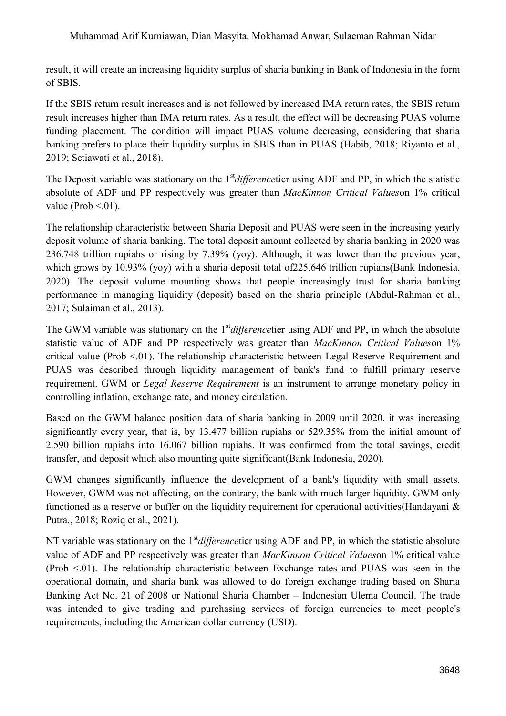result, it will create an increasing liquidity surplus of sharia banking in Bank of Indonesia in the form of SBIS.

If the SBIS return result increases and is not followed by increased IMA return rates, the SBIS return result increases higher than IMA return rates. As a result, the effect will be decreasing PUAS volume funding placement. The condition will impact PUAS volume decreasing, considering that sharia banking prefers to place their liquidity surplus in SBIS than in PUAS (Habib, 2018; Riyanto et al., 2019; Setiawati et al., 2018).

The Deposit variable was stationary on the 1<sup>st</sup> *differencetier* using ADF and PP, in which the statistic absolute of ADF and PP respectively was greater than *MacKinnon Critical Values*on 1% critical value (Prob  $\leq 01$ ).

The relationship characteristic between Sharia Deposit and PUAS were seen in the increasing yearly deposit volume of sharia banking. The total deposit amount collected by sharia banking in 2020 was 236.748 trillion rupiahs or rising by 7.39% (yoy). Although, it was lower than the previous year, which grows by 10.93% (yoy) with a sharia deposit total of 225.646 trillion rupiahs (Bank Indonesia, 2020). The deposit volume mounting shows that people increasingly trust for sharia banking performance in managing liquidity (deposit) based on the sharia principle (Abdul-Rahman et al., 2017; Sulaiman et al., 2013).

The GWM variable was stationary on the 1<sup>st</sup> difference tier using ADF and PP, in which the absolute statistic value of ADF and PP respectively was greater than *MacKinnon Critical Values*on 1% critical value (Prob <.01). The relationship characteristic between Legal Reserve Requirement and PUAS was described through liquidity management of bank's fund to fulfill primary reserve requirement. GWM or *Legal Reserve Requirement* is an instrument to arrange monetary policy in controlling inflation, exchange rate, and money circulation.

Based on the GWM balance position data of sharia banking in 2009 until 2020, it was increasing significantly every year, that is, by 13.477 billion rupiahs or 529.35% from the initial amount of 2.590 billion rupiahs into 16.067 billion rupiahs. It was confirmed from the total savings, credit transfer, and deposit which also mounting quite significant(Bank Indonesia, 2020).

GWM changes significantly influence the development of a bank's liquidity with small assets. However, GWM was not affecting, on the contrary, the bank with much larger liquidity. GWM only functioned as a reserve or buffer on the liquidity requirement for operational activities(Handayani & Putra., 2018; Roziq et al., 2021).

NT variable was stationary on the 1<sup>st</sup> *difference*tier using ADF and PP, in which the statistic absolute value of ADF and PP respectively was greater than *MacKinnon Critical Values*on 1% critical value  $(Prob < 0.01)$ . The relationship characteristic between Exchange rates and PUAS was seen in the operational domain, and sharia bank was allowed to do foreign exchange trading based on Sharia Banking Act No. 21 of 2008 or National Sharia Chamber – Indonesian Ulema Council. The trade was intended to give trading and purchasing services of foreign currencies to meet people's requirements, including the American dollar currency (USD).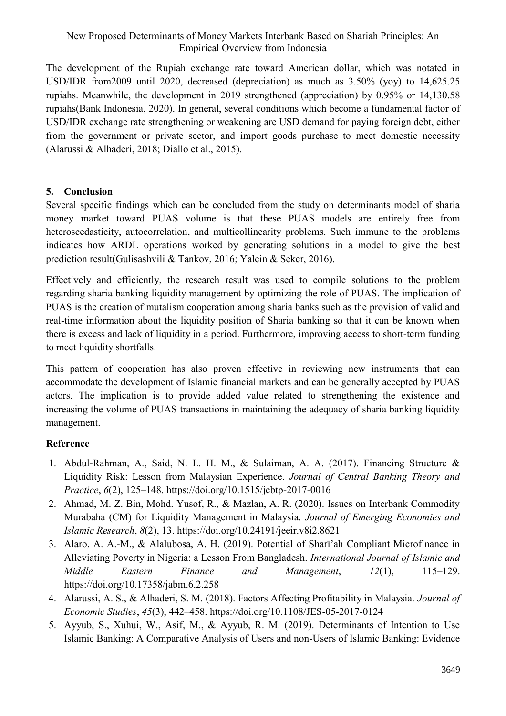The development of the Rupiah exchange rate toward American dollar, which was notated in USD/IDR from2009 until 2020, decreased (depreciation) as much as 3.50% (yoy) to 14,625.25 rupiahs. Meanwhile, the development in 2019 strengthened (appreciation) by 0.95% or 14,130.58 rupiahs(Bank Indonesia, 2020). In general, several conditions which become a fundamental factor of USD/IDR exchange rate strengthening or weakening are USD demand for paying foreign debt, either from the government or private sector, and import goods purchase to meet domestic necessity (Alarussi & Alhaderi, 2018; Diallo et al., 2015).

## **5. Conclusion**

Several specific findings which can be concluded from the study on determinants model of sharia money market toward PUAS volume is that these PUAS models are entirely free from heteroscedasticity, autocorrelation, and multicollinearity problems. Such immune to the problems indicates how ARDL operations worked by generating solutions in a model to give the best prediction result(Gulisashvili & Tankov, 2016; Yalcin & Seker, 2016).

Effectively and efficiently, the research result was used to compile solutions to the problem regarding sharia banking liquidity management by optimizing the role of PUAS. The implication of PUAS is the creation of mutalism cooperation among sharia banks such as the provision of valid and real-time information about the liquidity position of Sharia banking so that it can be known when there is excess and lack of liquidity in a period. Furthermore, improving access to short-term funding to meet liquidity shortfalls.

This pattern of cooperation has also proven effective in reviewing new instruments that can accommodate the development of Islamic financial markets and can be generally accepted by PUAS actors. The implication is to provide added value related to strengthening the existence and increasing the volume of PUAS transactions in maintaining the adequacy of sharia banking liquidity management.

## **Reference**

- 1. Abdul-Rahman, A., Said, N. L. H. M., & Sulaiman, A. A. (2017). Financing Structure & Liquidity Risk: Lesson from Malaysian Experience. *Journal of Central Banking Theory and Practice*, *6*(2), 125–148. https://doi.org/10.1515/jcbtp-2017-0016
- 2. Ahmad, M. Z. Bin, Mohd. Yusof, R., & Mazlan, A. R. (2020). Issues on Interbank Commodity Murabaha (CM) for Liquidity Management in Malaysia. *Journal of Emerging Economies and Islamic Research*, *8*(2), 13. https://doi.org/10.24191/jeeir.v8i2.8621
- 3. Alaro, A. A.-M., & Alalubosa, A. H. (2019). Potential of Sharī'ah Compliant Microfinance in Alleviating Poverty in Nigeria: a Lesson From Bangladesh. *International Journal of Islamic and Middle Eastern Finance and Management*, *12*(1), 115–129. https://doi.org/10.17358/jabm.6.2.258
- 4. Alarussi, A. S., & Alhaderi, S. M. (2018). Factors Affecting Profitability in Malaysia. *Journal of Economic Studies*, *45*(3), 442–458. https://doi.org/10.1108/JES-05-2017-0124
- 5. Ayyub, S., Xuhui, W., Asif, M., & Ayyub, R. M. (2019). Determinants of Intention to Use Islamic Banking: A Comparative Analysis of Users and non-Users of Islamic Banking: Evidence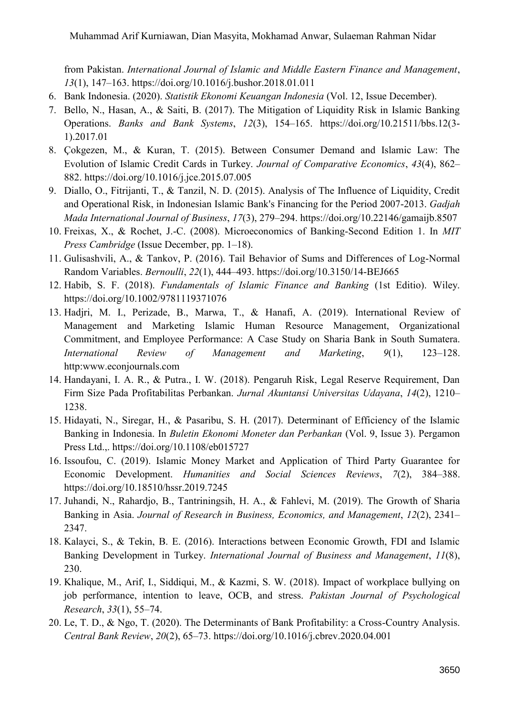from Pakistan. *International Journal of Islamic and Middle Eastern Finance and Management*, *13*(1), 147–163. https://doi.org/10.1016/j.bushor.2018.01.011

- 6. Bank Indonesia. (2020). *Statistik Ekonomi Keuangan Indonesia* (Vol. 12, Issue December).
- 7. Bello, N., Hasan, A., & Saiti, B. (2017). The Mitigation of Liquidity Risk in Islamic Banking Operations. *Banks and Bank Systems*, *12*(3), 154–165. https://doi.org/10.21511/bbs.12(3- 1).2017.01
- 8. Çokgezen, M., & Kuran, T. (2015). Between Consumer Demand and Islamic Law: The Evolution of Islamic Credit Cards in Turkey. *Journal of Comparative Economics*, *43*(4), 862– 882. https://doi.org/10.1016/j.jce.2015.07.005
- 9. Diallo, O., Fitrijanti, T., & Tanzil, N. D. (2015). Analysis of The Influence of Liquidity, Credit and Operational Risk, in Indonesian Islamic Bank's Financing for the Period 2007-2013. *Gadjah Mada International Journal of Business*, *17*(3), 279–294. https://doi.org/10.22146/gamaijb.8507
- 10. Freixas, X., & Rochet, J.-C. (2008). Microeconomics of Banking-Second Edition 1. In *MIT Press Cambridge* (Issue December, pp. 1–18).
- 11. Gulisashvili, A., & Tankov, P. (2016). Tail Behavior of Sums and Differences of Log-Normal Random Variables. *Bernoulli*, *22*(1), 444–493. https://doi.org/10.3150/14-BEJ665
- 12. Habib, S. F. (2018). *Fundamentals of Islamic Finance and Banking* (1st Editio). Wiley. https://doi.org/10.1002/9781119371076
- 13. Hadjri, M. I., Perizade, B., Marwa, T., & Hanafi, A. (2019). International Review of Management and Marketing Islamic Human Resource Management, Organizational Commitment, and Employee Performance: A Case Study on Sharia Bank in South Sumatera. *International Review of Management and Marketing*, *9*(1), 123–128. http:www.econjournals.com
- 14. Handayani, I. A. R., & Putra., I. W. (2018). Pengaruh Risk, Legal Reserve Requirement, Dan Firm Size Pada Profitabilitas Perbankan. *Jurnal Akuntansi Universitas Udayana*, *14*(2), 1210– 1238.
- 15. Hidayati, N., Siregar, H., & Pasaribu, S. H. (2017). Determinant of Efficiency of the Islamic Banking in Indonesia. In *Buletin Ekonomi Moneter dan Perbankan* (Vol. 9, Issue 3). Pergamon Press Ltd.,. https://doi.org/10.1108/eb015727
- 16. Issoufou, C. (2019). Islamic Money Market and Application of Third Party Guarantee for Economic Development. *Humanities and Social Sciences Reviews*, *7*(2), 384–388. https://doi.org/10.18510/hssr.2019.7245
- 17. Juhandi, N., Rahardjo, B., Tantriningsih, H. A., & Fahlevi, M. (2019). The Growth of Sharia Banking in Asia. *Journal of Research in Business, Economics, and Management*, *12*(2), 2341– 2347.
- 18. Kalayci, S., & Tekin, B. E. (2016). Interactions between Economic Growth, FDI and Islamic Banking Development in Turkey. *International Journal of Business and Management*, *11*(8), 230.
- 19. Khalique, M., Arif, I., Siddiqui, M., & Kazmi, S. W. (2018). Impact of workplace bullying on job performance, intention to leave, OCB, and stress. *Pakistan Journal of Psychological Research*, *33*(1), 55–74.
- 20. Le, T. D., & Ngo, T. (2020). The Determinants of Bank Profitability: a Cross-Country Analysis. *Central Bank Review*, *20*(2), 65–73. https://doi.org/10.1016/j.cbrev.2020.04.001